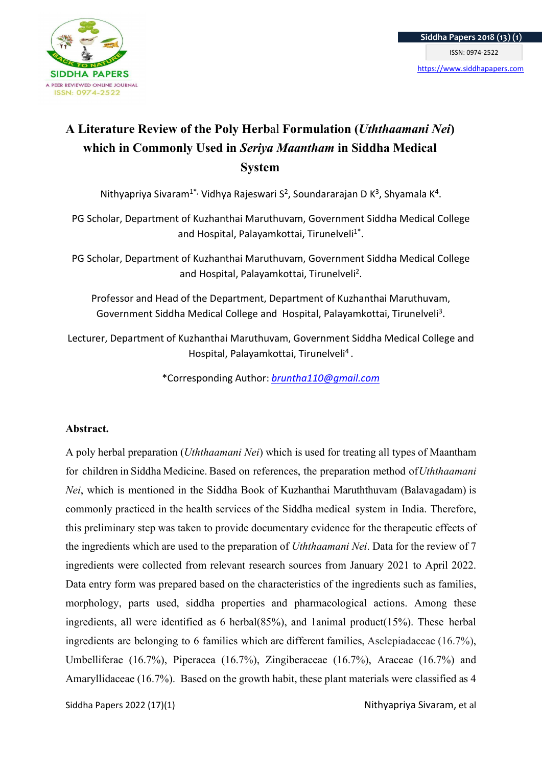

# A Literature Review of the Poly Herbal Formulation (Uththaamani Nei) which in Commonly Used in Seriya Maantham in Siddha Medical System

Nithyapriya Sivaram<sup>1\*,</sup> Vidhya Rajeswari S<sup>2</sup>, Soundararajan D K<sup>3</sup>, Shyamala K<sup>4</sup>.

PG Scholar, Department of Kuzhanthai Maruthuvam, Government Siddha Medical College and Hospital, Palayamkottai, Tirunelveli<sup>1\*</sup>.

PG Scholar, Department of Kuzhanthai Maruthuvam, Government Siddha Medical College and Hospital, Palayamkottai, Tirunelveli<sup>2</sup>.

Professor and Head of the Department, Department of Kuzhanthai Maruthuvam, Government Siddha Medical College and Hospital, Palayamkottai, Tirunelveli<sup>3</sup>.

Lecturer, Department of Kuzhanthai Maruthuvam, Government Siddha Medical College and Hospital, Palayamkottai, Tirunelveli<sup>4</sup>.

\*Corresponding Author: bruntha110@gmail.com

### Abstract.

A poly herbal preparation (Uththaamani Nei) which is used for treating all types of Maantham for children in Siddha Medicine. Based on references, the preparation method of Uththaamani Nei, which is mentioned in the Siddha Book of Kuzhanthai Maruththuvam (Balavagadam) is commonly practiced in the health services of the Siddha medical system in India. Therefore, this preliminary step was taken to provide documentary evidence for the therapeutic effects of the ingredients which are used to the preparation of Uththaamani Nei. Data for the review of 7 ingredients were collected from relevant research sources from January 2021 to April 2022. Data entry form was prepared based on the characteristics of the ingredients such as families, morphology, parts used, siddha properties and pharmacological actions. Among these ingredients, all were identified as 6 herbal(85%), and 1animal product(15%). These herbal ingredients are belonging to 6 families which are different families, Asclepiadaceae (16.7%), Umbelliferae (16.7%), Piperacea (16.7%), Zingiberaceae (16.7%), Araceae (16.7%) and Amaryllidaceae (16.7%). Based on the growth habit, these plant materials were classified as 4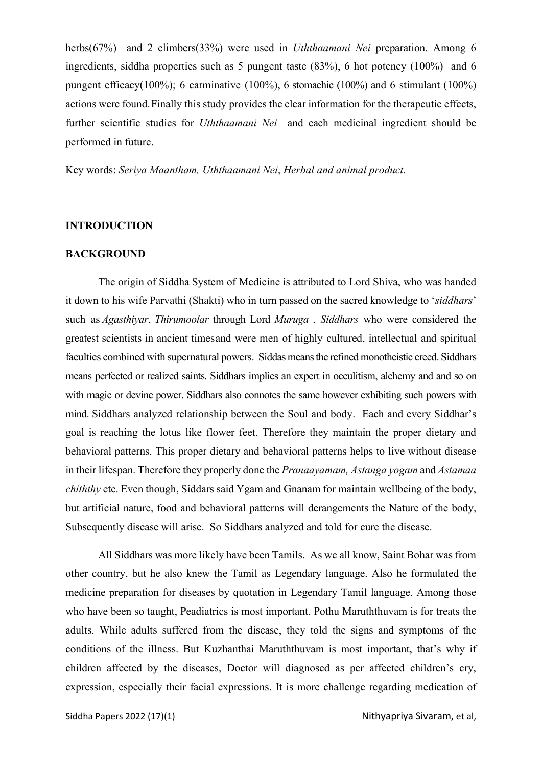herbs(67%) and 2 climbers(33%) were used in Uththaamani Nei preparation. Among 6 ingredients, siddha properties such as 5 pungent taste (83%), 6 hot potency (100%) and 6 pungent efficacy(100%); 6 carminative (100%), 6 stomachic (100%) and 6 stimulant (100%) actions were found. Finally this study provides the clear information for the therapeutic effects, further scientific studies for Uththaamani Nei and each medicinal ingredient should be performed in future.

Key words: Seriya Maantham, Uththaamani Nei, Herbal and animal product.

### INTRODUCTION

### BACKGROUND

The origin of Siddha System of Medicine is attributed to Lord Shiva, who was handed it down to his wife Parvathi (Shakti) who in turn passed on the sacred knowledge to 'siddhars' such as Agasthiyar, Thirumoolar through Lord Muruga. Siddhars who were considered the greatest scientists in ancient times and were men of highly cultured, intellectual and spiritual faculties combined with supernatural powers. Siddas means the refined monotheistic creed. Siddhars means perfected or realized saints. Siddhars implies an expert in occulitism, alchemy and and so on with magic or devine power. Siddhars also connotes the same however exhibiting such powers with mind. Siddhars analyzed relationship between the Soul and body. Each and every Siddhar's goal is reaching the lotus like flower feet. Therefore they maintain the proper dietary and behavioral patterns. This proper dietary and behavioral patterns helps to live without disease in their lifespan. Therefore they properly done the Pranaayamam, Astanga yogam and Astamaa chiththy etc. Even though, Siddars said Ygam and Gnanam for maintain wellbeing of the body, but artificial nature, food and behavioral patterns will derangements the Nature of the body, Subsequently disease will arise. So Siddhars analyzed and told for cure the disease.

All Siddhars was more likely have been Tamils. As we all know, Saint Bohar was from other country, but he also knew the Tamil as Legendary language. Also he formulated the medicine preparation for diseases by quotation in Legendary Tamil language. Among those who have been so taught, Peadiatrics is most important. Pothu Maruththuvam is for treats the adults. While adults suffered from the disease, they told the signs and symptoms of the conditions of the illness. But Kuzhanthai Maruththuvam is most important, that's why if children affected by the diseases, Doctor will diagnosed as per affected children's cry, expression, especially their facial expressions. It is more challenge regarding medication of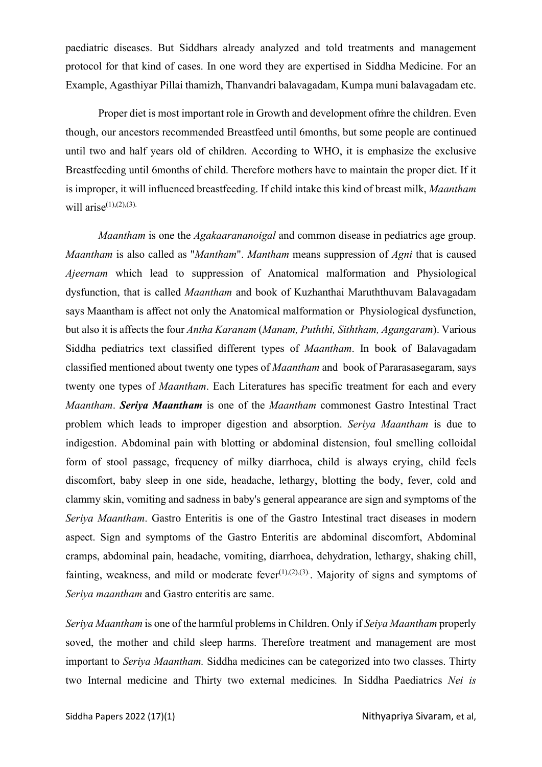paediatric diseases. But Siddhars already analyzed and told treatments and management protocol for that kind of cases. In one word they are expertised in Siddha Medicine. For an Example, Agasthiyar Pillai thamizh, Thanvandri balavagadam, Kumpa muni balavagadam etc.

Proper diet is most important role in Growth and development ofṁre the children. Even though, our ancestors recommended Breastfeed until 6months, but some people are continued until two and half years old of children. According to WHO, it is emphasize the exclusive Breastfeeding until 6months of child. Therefore mothers have to maintain the proper diet. If it is improper, it will influenced breastfeeding. If child intake this kind of breast milk, Maantham will arise $(1)$ , $(2)$ , $(3)$ .

Maantham is one the *Agakaarananoigal* and common disease in pediatrics age group. Maantham is also called as "Mantham". Mantham means suppression of Agni that is caused Ajeernam which lead to suppression of Anatomical malformation and Physiological dysfunction, that is called Maantham and book of Kuzhanthai Maruththuvam Balavagadam says Maantham is affect not only the Anatomical malformation or Physiological dysfunction, but also it is affects the four Antha Karanam (Manam, Puththi, Siththam, Agangaram). Various Siddha pediatrics text classified different types of Maantham. In book of Balavagadam classified mentioned about twenty one types of Maantham and book of Pararasasegaram, says twenty one types of Maantham. Each Literatures has specific treatment for each and every Maantham. Seriya Maantham is one of the Maantham commonest Gastro Intestinal Tract problem which leads to improper digestion and absorption. Seriya Maantham is due to indigestion. Abdominal pain with blotting or abdominal distension, foul smelling colloidal form of stool passage, frequency of milky diarrhoea, child is always crying, child feels discomfort, baby sleep in one side, headache, lethargy, blotting the body, fever, cold and clammy skin, vomiting and sadness in baby's general appearance are sign and symptoms of the Seriya Maantham. Gastro Enteritis is one of the Gastro Intestinal tract diseases in modern aspect. Sign and symptoms of the Gastro Enteritis are abdominal discomfort, Abdominal cramps, abdominal pain, headache, vomiting, diarrhoea, dehydration, lethargy, shaking chill, fainting, weakness, and mild or moderate fever<sup> $(1),(2),(3)$ </sup>. Majority of signs and symptoms of Seriya maantham and Gastro enteritis are same.

Seriya Maantham is one of the harmful problems in Children. Only if Seiya Maantham properly soved, the mother and child sleep harms. Therefore treatment and management are most important to Seriya Maantham. Siddha medicines can be categorized into two classes. Thirty two Internal medicine and Thirty two external medicines. In Siddha Paediatrics Nei is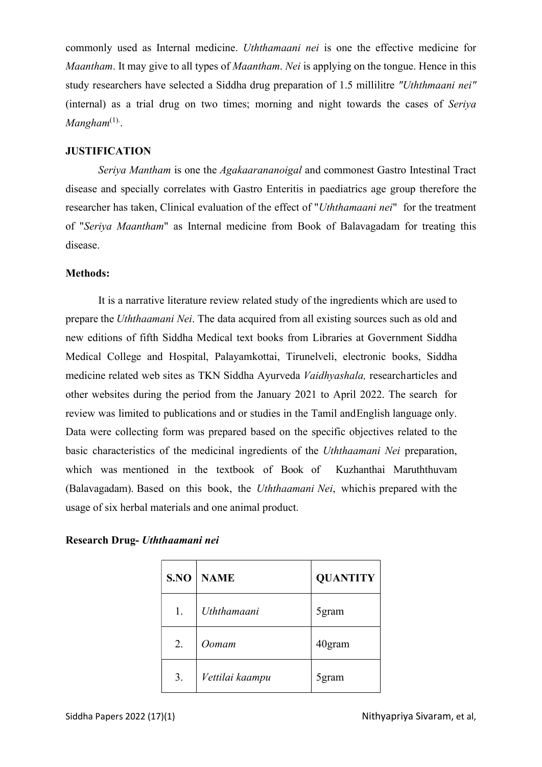commonly used as Internal medicine. Uththamaani nei is one the effective medicine for Maantham. It may give to all types of *Maantham. Nei* is applying on the tongue. Hence in this study researchers have selected a Siddha drug preparation of 1.5 millilitre "Uththmaani nei" (internal) as a trial drug on two times; morning and night towards the cases of Seriya  $M$ angham ${}^{(1)}$ .

### **JUSTIFICATION**

Seriya Mantham is one the Agakaarananoigal and commonest Gastro Intestinal Tract disease and specially correlates with Gastro Enteritis in paediatrics age group therefore the researcher has taken, Clinical evaluation of the effect of "Uththamaani nei" for the treatment of "Seriya Maantham" as Internal medicine from Book of Balavagadam for treating this disease.

### Methods:

It is a narrative literature review related study of the ingredients which are used to prepare the Uththaamani Nei. The data acquired from all existing sources such as old and new editions of fifth Siddha Medical text books from Libraries at Government Siddha Medical College and Hospital, Palayamkottai, Tirunelveli, electronic books, Siddha medicine related web sites as TKN Siddha Ayurveda Vaidhyashala, research articles and other websites during the period from the January 2021 to April 2022. The search for review was limited to publications and or studies in the Tamil and English language only. Data were collecting form was prepared based on the specific objectives related to the basic characteristics of the medicinal ingredients of the Uththaamani Nei preparation, which was mentioned in the textbook of Book of Kuzhanthai Maruththuvam (Balavagadam). Based on this book, the Uththaamani Nei, which is prepared with the usage of six herbal materials and one animal product.

| S.NO | <b>NAME</b>     | <b>QUANTITY</b> |
|------|-----------------|-----------------|
| 1.   | Uththamaani     | 5 gram          |
| 2.   | Oomam           | 40gram          |
| 3.   | Vettilai kaampu | 5gram           |

### Research Drug- Uththaamani nei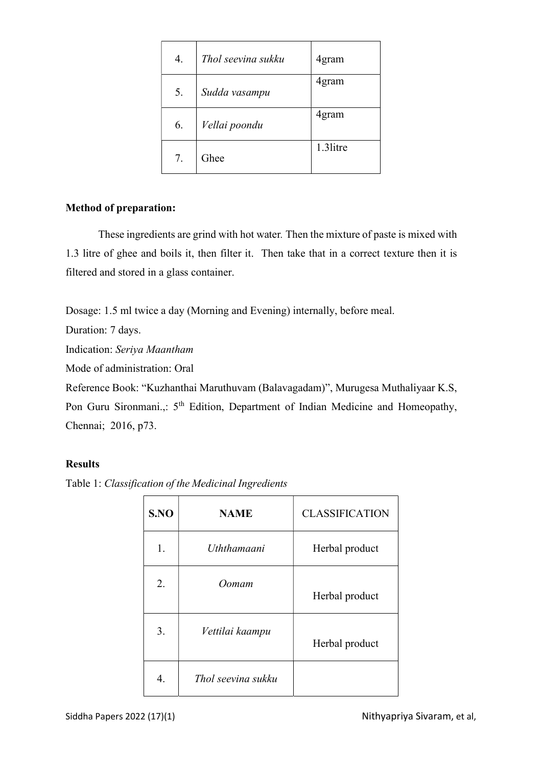| 4. | Thol seevina sukku | 4gram    |
|----|--------------------|----------|
| 5. | Sudda vasampu      | 4gram    |
| 6. | Vellai poondu      | 4gram    |
| 7. | Ghee               | 1.3litre |

### Method of preparation:

These ingredients are grind with hot water. Then the mixture of paste is mixed with 1.3 litre of ghee and boils it, then filter it. Then take that in a correct texture then it is filtered and stored in a glass container.

Dosage: 1.5 ml twice a day (Morning and Evening) internally, before meal.

Duration: 7 days.

Indication: Seriya Maantham

Mode of administration: Oral

Reference Book: "Kuzhanthai Maruthuvam (Balavagadam)", Murugesa Muthaliyaar K.S, Pon Guru Sironmani.,: 5<sup>th</sup> Edition, Department of Indian Medicine and Homeopathy, Chennai; 2016, p73.

### Results

Table 1: Classification of the Medicinal Ingredients

| S.NO | <b>NAME</b>        | <b>CLASSIFICATION</b> |
|------|--------------------|-----------------------|
| 1.   | Uththamaani        | Herbal product        |
| 2.   | Oomam              | Herbal product        |
| 3.   | Vettilai kaampu    | Herbal product        |
| 4.   | Thol seevina sukku |                       |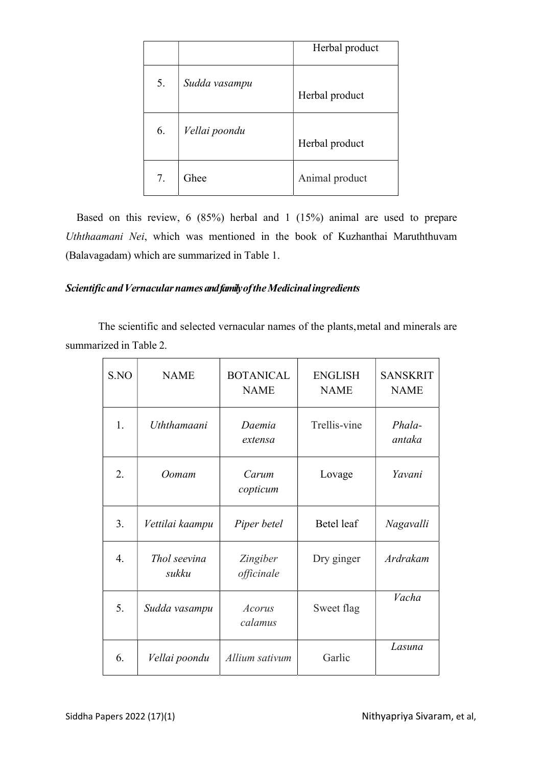|    |               | Herbal product |
|----|---------------|----------------|
| 5. | Sudda vasampu | Herbal product |
| 6. | Vellai poondu | Herbal product |
| 7. | Ghee          | Animal product |

Based on this review, 6 (85%) herbal and 1 (15%) animal are used to prepare Uththaamani Nei, which was mentioned in the book of Kuzhanthai Maruththuvam (Balavagadam) which are summarized in Table 1.

## Scientific and Vernacular names and family of the Medicinal ingredients

The scientific and selected vernacular names of the plants, metal and minerals are summarized in Table 2.

| S.NO | <b>NAME</b>           | <b>BOTANICAL</b><br><b>NAME</b> | <b>ENGLISH</b><br><b>NAME</b> | <b>SANSKRIT</b><br><b>NAME</b> |
|------|-----------------------|---------------------------------|-------------------------------|--------------------------------|
| 1.   | Uththamaani           | Daemia<br>extensa               | Trellis-vine                  | Phala-<br>antaka               |
| 2.   | Oomam                 | Carum<br>copticum               | Lovage                        | Yavani                         |
| 3.   | Vettilai kaampu       | Piper betel                     | Betel leaf                    | Nagavalli                      |
| 4.   | Thol seevina<br>sukku | Zingiber<br>officinale          | Dry ginger                    | Ardrakam                       |
| 5.   | Sudda vasampu         | Acorus<br>calamus               | Sweet flag                    | Vacha                          |
| 6.   | Vellai poondu         | Allium sativum                  | Garlic                        | Lasuna                         |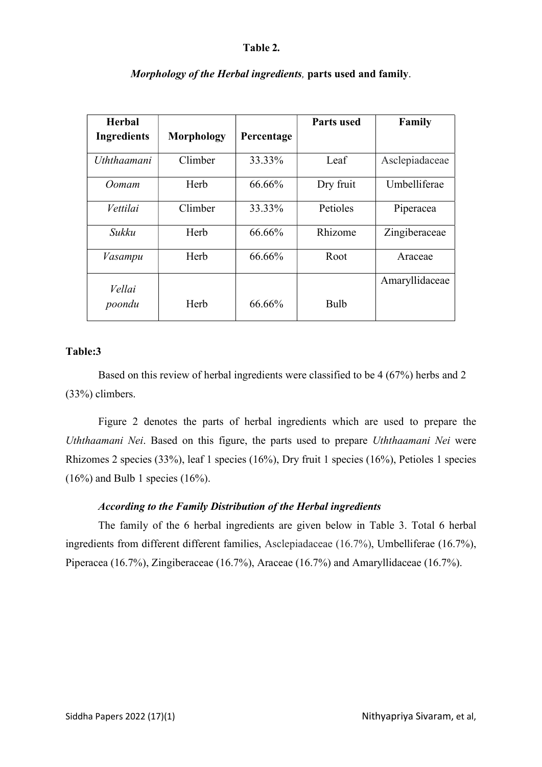#### Table 2.

| Herbal             |            |            | <b>Parts used</b> | Family         |
|--------------------|------------|------------|-------------------|----------------|
| <b>Ingredients</b> | Morphology | Percentage |                   |                |
| Uththaamani        | Climber    | 33.33%     | Leaf              | Asclepiadaceae |
| Oomam              | Herb       | 66.66%     | Dry fruit         | Umbelliferae   |
| Vettilai           | Climber    | 33.33%     | Petioles          | Piperacea      |
| Sukku              | Herb       | 66.66%     | Rhizome           | Zingiberaceae  |
| Vasampu            | Herb       | 66.66%     | Root              | Araceae        |
| Vellai             |            |            |                   | Amaryllidaceae |
| poondu             | Herb       | 66.66%     | <b>Bulb</b>       |                |

### Morphology of the Herbal ingredients, parts used and family.

### Table:3

Based on this review of herbal ingredients were classified to be 4 (67%) herbs and 2 (33%) climbers.

Figure 2 denotes the parts of herbal ingredients which are used to prepare the Uththaamani Nei. Based on this figure, the parts used to prepare Uththaamani Nei were Rhizomes 2 species (33%), leaf 1 species (16%), Dry fruit 1 species (16%), Petioles 1 species  $(16\%)$  and Bulb 1 species  $(16\%)$ .

### According to the Family Distribution of the Herbal ingredients

The family of the 6 herbal ingredients are given below in Table 3. Total 6 herbal ingredients from different different families, Asclepiadaceae (16.7%), Umbelliferae (16.7%), Piperacea (16.7%), Zingiberaceae (16.7%), Araceae (16.7%) and Amaryllidaceae (16.7%).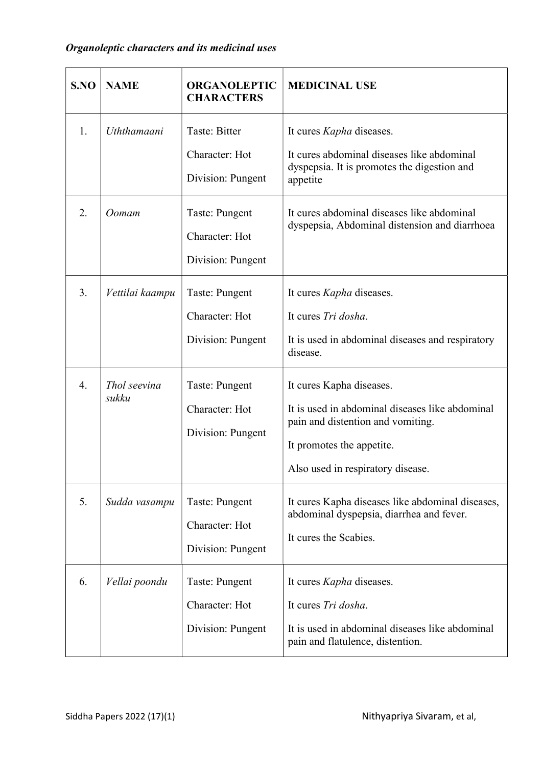| S.NO                   | <b>NAME</b>                              | <b>ORGANOLEPTIC</b><br><b>CHARACTERS</b>                                                  | <b>MEDICINAL USE</b>                                                                                                                                                                                                                       |  |
|------------------------|------------------------------------------|-------------------------------------------------------------------------------------------|--------------------------------------------------------------------------------------------------------------------------------------------------------------------------------------------------------------------------------------------|--|
| 1.<br>2.               | Uththamaani<br>Oomam                     | Taste: Bitter<br>Character: Hot<br>Division: Pungent<br>Taste: Pungent<br>Character: Hot  | It cures <i>Kapha</i> diseases.<br>It cures abdominal diseases like abdominal<br>dyspepsia. It is promotes the digestion and<br>appetite<br>It cures abdominal diseases like abdominal<br>dyspepsia, Abdominal distension and diarrhoea    |  |
|                        |                                          | Division: Pungent                                                                         |                                                                                                                                                                                                                                            |  |
| 3.<br>$\overline{4}$ . | Vettilai kaampu<br>Thol seevina<br>sukku | Taste: Pungent<br>Character: Hot<br>Division: Pungent<br>Taste: Pungent<br>Character: Hot | It cures <i>Kapha</i> diseases.<br>It cures Tri dosha.<br>It is used in abdominal diseases and respiratory<br>disease.<br>It cures Kapha diseases.<br>It is used in abdominal diseases like abdominal<br>pain and distention and vomiting. |  |
|                        |                                          | Division: Pungent                                                                         | It promotes the appetite.<br>Also used in respiratory disease.                                                                                                                                                                             |  |
| 5.                     | Sudda vasampu                            | Taste: Pungent<br>Character: Hot<br>Division: Pungent                                     | It cures Kapha diseases like abdominal diseases,<br>abdominal dyspepsia, diarrhea and fever.<br>It cures the Scabies.                                                                                                                      |  |
| 6.                     | Vellai poondu                            | Taste: Pungent<br>Character: Hot<br>Division: Pungent                                     | It cures <i>Kapha</i> diseases.<br>It cures Tri dosha.<br>It is used in abdominal diseases like abdominal<br>pain and flatulence, distention.                                                                                              |  |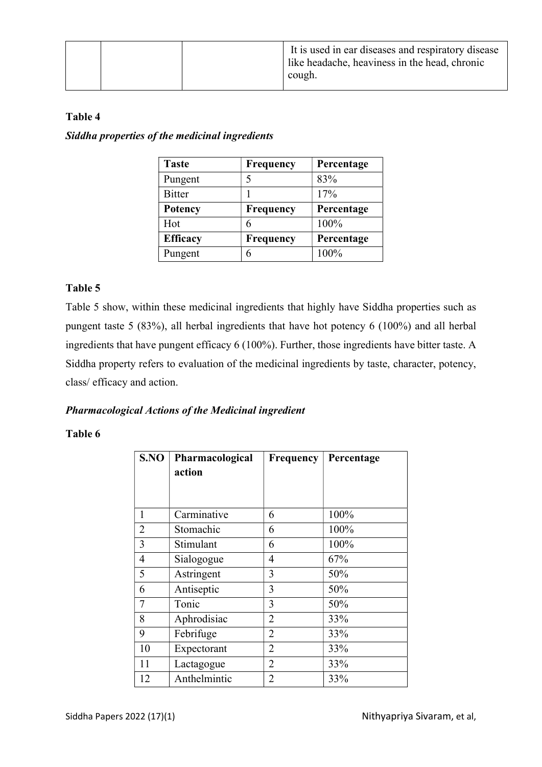### Table 4

Siddha properties of the medicinal ingredients

| <b>Taste</b>    | <b>Frequency</b> | Percentage |
|-----------------|------------------|------------|
| Pungent         |                  | 83%        |
| <b>Bitter</b>   |                  | 17%        |
| <b>Potency</b>  | Frequency        | Percentage |
| Hot             | 6                | 100%       |
| <b>Efficacy</b> | Frequency        | Percentage |
| Pungent         | 6                | 100%       |

### Table 5

Table 5 show, within these medicinal ingredients that highly have Siddha properties such as pungent taste 5 (83%), all herbal ingredients that have hot potency 6 (100%) and all herbal ingredients that have pungent efficacy 6 (100%). Further, those ingredients have bitter taste. A Siddha property refers to evaluation of the medicinal ingredients by taste, character, potency, class/ efficacy and action.

### Pharmacological Actions of the Medicinal ingredient

### Table 6

| S.NO           | Pharmacological | <b>Frequency</b> | Percentage |
|----------------|-----------------|------------------|------------|
|                | action          |                  |            |
|                |                 |                  |            |
| 1              | Carminative     | 6                | 100%       |
| $\overline{2}$ | Stomachic       | 6                | 100%       |
| 3              | Stimulant       | 6                | 100%       |
| 4              | Sialogogue      | 4                | 67%        |
| 5              | Astringent      | 3                | 50%        |
| 6              | Antiseptic      | 3                | 50%        |
| $\overline{7}$ | Tonic           | 3                | 50%        |
| 8              | Aphrodisiac     | 2                | 33%        |
| 9              | Febrifuge       | $\overline{2}$   | 33%        |
| 10             | Expectorant     | $\overline{2}$   | 33%        |
| 11             | Lactagogue      | 2                | 33%        |
| 12             | Anthelmintic    | $\overline{2}$   | 33%        |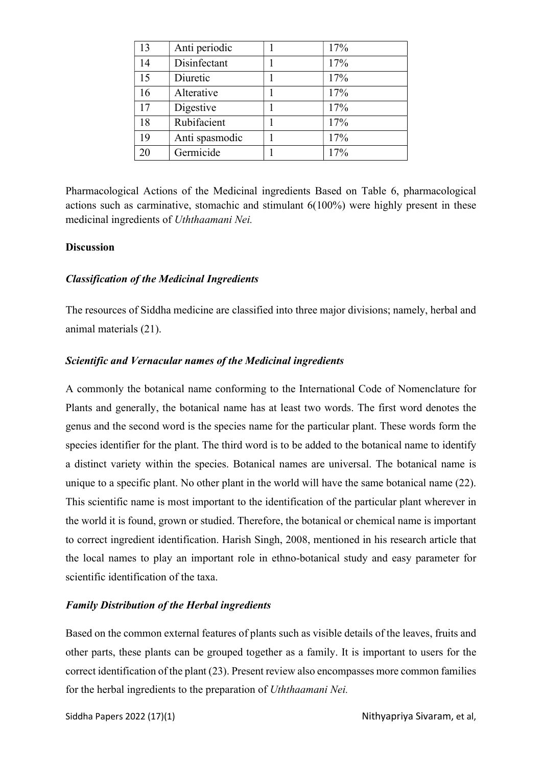| 13 | Anti periodic  | 17% |
|----|----------------|-----|
| 14 | Disinfectant   | 17% |
| 15 | Diuretic       | 17% |
| 16 | Alterative     | 17% |
| 17 | Digestive      | 17% |
| 18 | Rubifacient    | 17% |
| 19 | Anti spasmodic | 17% |
| 20 | Germicide      | 17% |

Pharmacological Actions of the Medicinal ingredients Based on Table 6, pharmacological actions such as carminative, stomachic and stimulant 6(100%) were highly present in these medicinal ingredients of Uththaamani Nei.

### **Discussion**

### Classification of the Medicinal Ingredients

The resources of Siddha medicine are classified into three major divisions; namely, herbal and animal materials (21).

### Scientific and Vernacular names of the Medicinal ingredients

A commonly the botanical name conforming to the International Code of Nomenclature for Plants and generally, the botanical name has at least two words. The first word denotes the genus and the second word is the species name for the particular plant. These words form the species identifier for the plant. The third word is to be added to the botanical name to identify a distinct variety within the species. Botanical names are universal. The botanical name is unique to a specific plant. No other plant in the world will have the same botanical name (22). This scientific name is most important to the identification of the particular plant wherever in the world it is found, grown or studied. Therefore, the botanical or chemical name is important to correct ingredient identification. Harish Singh, 2008, mentioned in his research article that the local names to play an important role in ethno-botanical study and easy parameter for scientific identification of the taxa.

### Family Distribution of the Herbal ingredients

Based on the common external features of plants such as visible details of the leaves, fruits and other parts, these plants can be grouped together as a family. It is important to users for the correct identification of the plant (23). Present review also encompasses more common families for the herbal ingredients to the preparation of Uththaamani Nei.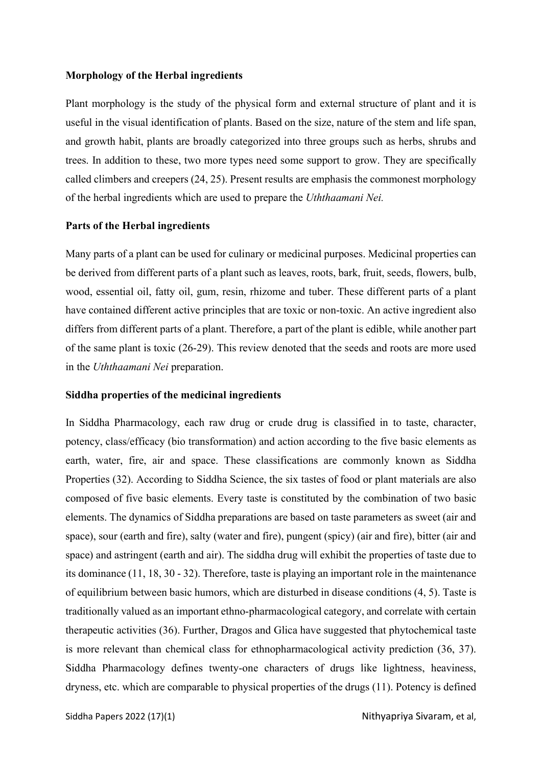#### Morphology of the Herbal ingredients

Plant morphology is the study of the physical form and external structure of plant and it is useful in the visual identification of plants. Based on the size, nature of the stem and life span, and growth habit, plants are broadly categorized into three groups such as herbs, shrubs and trees. In addition to these, two more types need some support to grow. They are specifically called climbers and creepers (24, 25). Present results are emphasis the commonest morphology of the herbal ingredients which are used to prepare the Uththaamani Nei.

### Parts of the Herbal ingredients

Many parts of a plant can be used for culinary or medicinal purposes. Medicinal properties can be derived from different parts of a plant such as leaves, roots, bark, fruit, seeds, flowers, bulb, wood, essential oil, fatty oil, gum, resin, rhizome and tuber. These different parts of a plant have contained different active principles that are toxic or non-toxic. An active ingredient also differs from different parts of a plant. Therefore, a part of the plant is edible, while another part of the same plant is toxic (26-29). This review denoted that the seeds and roots are more used in the Uththaamani Nei preparation.

#### Siddha properties of the medicinal ingredients

In Siddha Pharmacology, each raw drug or crude drug is classified in to taste, character, potency, class/efficacy (bio transformation) and action according to the five basic elements as earth, water, fire, air and space. These classifications are commonly known as Siddha Properties (32). According to Siddha Science, the six tastes of food or plant materials are also composed of five basic elements. Every taste is constituted by the combination of two basic elements. The dynamics of Siddha preparations are based on taste parameters as sweet (air and space), sour (earth and fire), salty (water and fire), pungent (spicy) (air and fire), bitter (air and space) and astringent (earth and air). The siddha drug will exhibit the properties of taste due to its dominance (11, 18, 30 - 32). Therefore, taste is playing an important role in the maintenance of equilibrium between basic humors, which are disturbed in disease conditions (4, 5). Taste is traditionally valued as an important ethno-pharmacological category, and correlate with certain therapeutic activities (36). Further, Dragos and Glica have suggested that phytochemical taste is more relevant than chemical class for ethnopharmacological activity prediction (36, 37). Siddha Pharmacology defines twenty-one characters of drugs like lightness, heaviness, dryness, etc. which are comparable to physical properties of the drugs (11). Potency is defined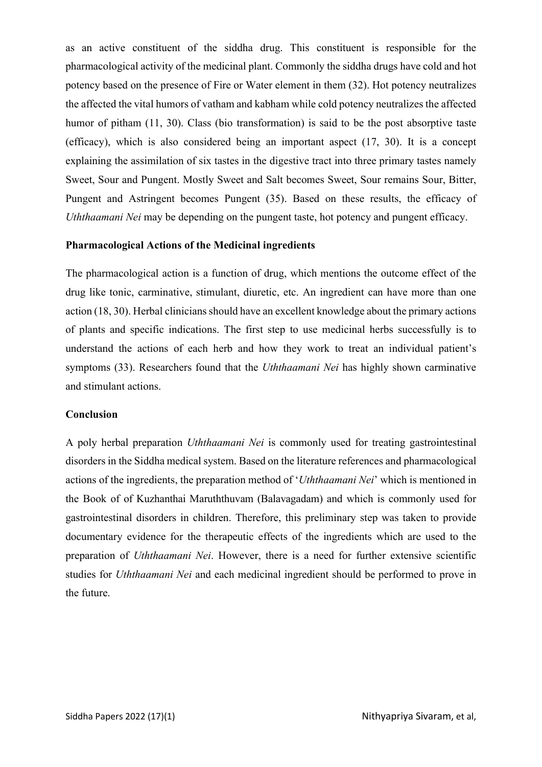as an active constituent of the siddha drug. This constituent is responsible for the pharmacological activity of the medicinal plant. Commonly the siddha drugs have cold and hot potency based on the presence of Fire or Water element in them (32). Hot potency neutralizes the affected the vital humors of vatham and kabham while cold potency neutralizes the affected humor of pitham (11, 30). Class (bio transformation) is said to be the post absorptive taste (efficacy), which is also considered being an important aspect (17, 30). It is a concept explaining the assimilation of six tastes in the digestive tract into three primary tastes namely Sweet, Sour and Pungent. Mostly Sweet and Salt becomes Sweet, Sour remains Sour, Bitter, Pungent and Astringent becomes Pungent (35). Based on these results, the efficacy of Uththaamani Nei may be depending on the pungent taste, hot potency and pungent efficacy.

### Pharmacological Actions of the Medicinal ingredients

The pharmacological action is a function of drug, which mentions the outcome effect of the drug like tonic, carminative, stimulant, diuretic, etc. An ingredient can have more than one action (18, 30). Herbal clinicians should have an excellent knowledge about the primary actions of plants and specific indications. The first step to use medicinal herbs successfully is to understand the actions of each herb and how they work to treat an individual patient's symptoms (33). Researchers found that the *Uththaamani Nei* has highly shown carminative and stimulant actions.

#### Conclusion

A poly herbal preparation Uththaamani Nei is commonly used for treating gastrointestinal disorders in the Siddha medical system. Based on the literature references and pharmacological actions of the ingredients, the preparation method of 'Uththaamani Nei' which is mentioned in the Book of of Kuzhanthai Maruththuvam (Balavagadam) and which is commonly used for gastrointestinal disorders in children. Therefore, this preliminary step was taken to provide documentary evidence for the therapeutic effects of the ingredients which are used to the preparation of Uththaamani Nei. However, there is a need for further extensive scientific studies for Uththaamani Nei and each medicinal ingredient should be performed to prove in the future.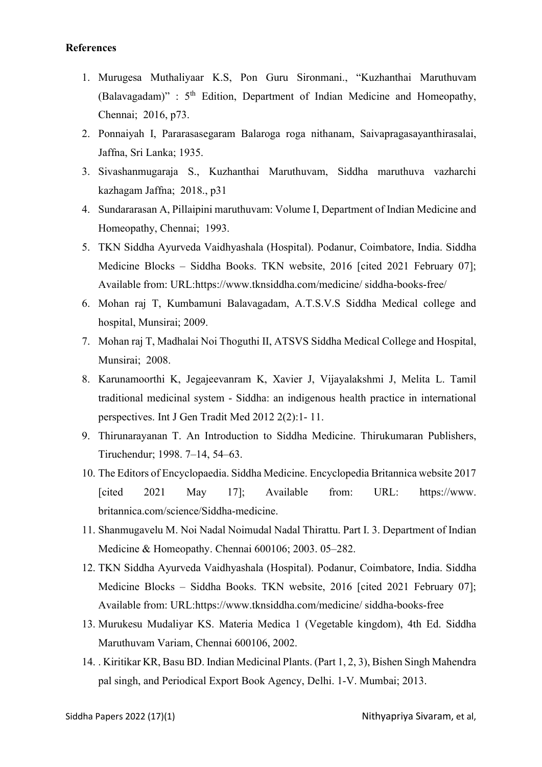### References

- 1. Murugesa Muthaliyaar K.S, Pon Guru Sironmani., "Kuzhanthai Maruthuvam (Balavagadam)" :  $5<sup>th</sup>$  Edition, Department of Indian Medicine and Homeopathy, Chennai; 2016, p73.
- 2. Ponnaiyah I, Pararasasegaram Balaroga roga nithanam, Saivapragasayanthirasalai, Jaffna, Sri Lanka; 1935.
- 3. Sivashanmugaraja S., Kuzhanthai Maruthuvam, Siddha maruthuva vazharchi kazhagam Jaffna; 2018., p31
- 4. Sundararasan A, Pillaipini maruthuvam: Volume I, Department of Indian Medicine and Homeopathy, Chennai; 1993.
- 5. TKN Siddha Ayurveda Vaidhyashala (Hospital). Podanur, Coimbatore, India. Siddha Medicine Blocks – Siddha Books. TKN website, 2016 [cited 2021 February 07]; Available from: URL:https://www.tknsiddha.com/medicine/ siddha-books-free/
- 6. Mohan raj T, Kumbamuni Balavagadam, A.T.S.V.S Siddha Medical college and hospital, Munsirai; 2009.
- 7. Mohan raj T, Madhalai Noi Thoguthi II, ATSVS Siddha Medical College and Hospital, Munsirai; 2008.
- 8. Karunamoorthi K, Jegajeevanram K, Xavier J, Vijayalakshmi J, Melita L. Tamil traditional medicinal system - Siddha: an indigenous health practice in international perspectives. Int J Gen Tradit Med 2012 2(2):1- 11.
- 9. Thirunarayanan T. An Introduction to Siddha Medicine. Thirukumaran Publishers, Tiruchendur; 1998. 7–14, 54–63.
- 10. The Editors of Encyclopaedia. Siddha Medicine. Encyclopedia Britannica website 2017 [cited 2021 May 17]; Available from: URL: https://www. britannica.com/science/Siddha-medicine.
- 11. Shanmugavelu M. Noi Nadal Noimudal Nadal Thirattu. Part I. 3. Department of Indian Medicine & Homeopathy. Chennai 600106; 2003. 05–282.
- 12. TKN Siddha Ayurveda Vaidhyashala (Hospital). Podanur, Coimbatore, India. Siddha Medicine Blocks – Siddha Books. TKN website, 2016 [cited 2021 February 07]; Available from: URL:https://www.tknsiddha.com/medicine/ siddha-books-free
- 13. Murukesu Mudaliyar KS. Materia Medica 1 (Vegetable kingdom), 4th Ed. Siddha Maruthuvam Variam, Chennai 600106, 2002.
- 14. . Kiritikar KR, Basu BD. Indian Medicinal Plants. (Part 1, 2, 3), Bishen Singh Mahendra pal singh, and Periodical Export Book Agency, Delhi. 1-V. Mumbai; 2013.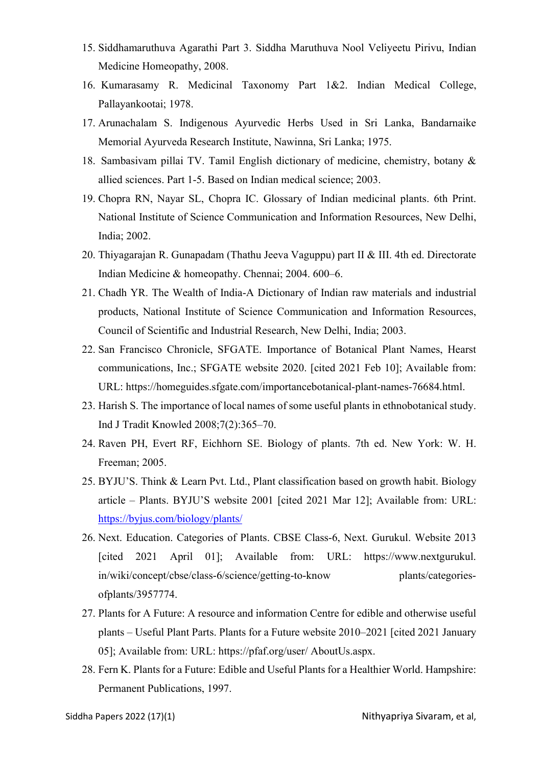- 15. Siddhamaruthuva Agarathi Part 3. Siddha Maruthuva Nool Veliyeetu Pirivu, Indian Medicine Homeopathy, 2008.
- 16. Kumarasamy R. Medicinal Taxonomy Part 1&2. Indian Medical College, Pallayankootai; 1978.
- 17. Arunachalam S. Indigenous Ayurvedic Herbs Used in Sri Lanka, Bandarnaike Memorial Ayurveda Research Institute, Nawinna, Sri Lanka; 1975.
- 18. Sambasivam pillai TV. Tamil English dictionary of medicine, chemistry, botany & allied sciences. Part 1-5. Based on Indian medical science; 2003.
- 19. Chopra RN, Nayar SL, Chopra IC. Glossary of Indian medicinal plants. 6th Print. National Institute of Science Communication and Information Resources, New Delhi, India; 2002.
- 20. Thiyagarajan R. Gunapadam (Thathu Jeeva Vaguppu) part II & III. 4th ed. Directorate Indian Medicine & homeopathy. Chennai; 2004. 600–6.
- 21. Chadh YR. The Wealth of India-A Dictionary of Indian raw materials and industrial products, National Institute of Science Communication and Information Resources, Council of Scientific and Industrial Research, New Delhi, India; 2003.
- 22. San Francisco Chronicle, SFGATE. Importance of Botanical Plant Names, Hearst communications, Inc.; SFGATE website 2020. [cited 2021 Feb 10]; Available from: URL: https://homeguides.sfgate.com/importancebotanical-plant-names-76684.html.
- 23. Harish S. The importance of local names of some useful plants in ethnobotanical study. Ind J Tradit Knowled 2008;7(2):365–70.
- 24. Raven PH, Evert RF, Eichhorn SE. Biology of plants. 7th ed. New York: W. H. Freeman; 2005.
- 25. BYJU'S. Think & Learn Pvt. Ltd., Plant classification based on growth habit. Biology article – Plants. BYJU'S website 2001 [cited 2021 Mar 12]; Available from: URL: https://byjus.com/biology/plants/
- 26. Next. Education. Categories of Plants. CBSE Class-6, Next. Gurukul. Website 2013 [cited 2021 April 01]; Available from: URL: https://www.nextgurukul. in/wiki/concept/cbse/class-6/science/getting-to-know plants/categoriesofplants/3957774.
- 27. Plants for A Future: A resource and information Centre for edible and otherwise useful plants – Useful Plant Parts. Plants for a Future website 2010–2021 [cited 2021 January 05]; Available from: URL: https://pfaf.org/user/ AboutUs.aspx.
- 28. Fern K. Plants for a Future: Edible and Useful Plants for a Healthier World. Hampshire: Permanent Publications, 1997.